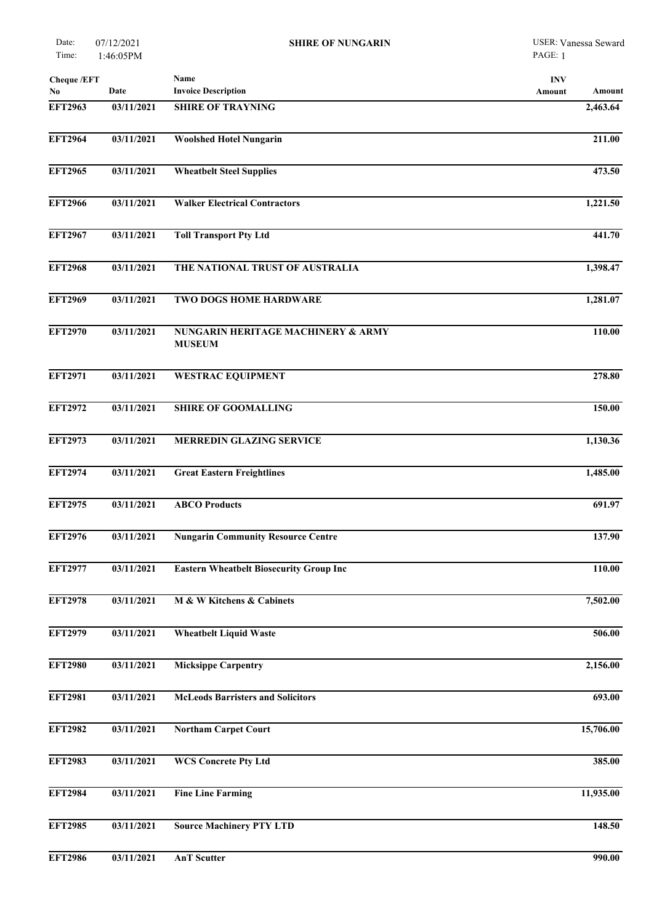| <b>Cheque /EFT</b><br>No. | Date       | Name<br><b>Invoice Description</b>                  | <b>INV</b><br>Amount<br>Amount |
|---------------------------|------------|-----------------------------------------------------|--------------------------------|
| <b>EFT2963</b>            | 03/11/2021 | <b>SHIRE OF TRAYNING</b>                            | 2,463.64                       |
| <b>EFT2964</b>            | 03/11/2021 | <b>Woolshed Hotel Nungarin</b>                      | 211.00                         |
| <b>EFT2965</b>            | 03/11/2021 | <b>Wheatbelt Steel Supplies</b>                     | 473.50                         |
| <b>EFT2966</b>            | 03/11/2021 | <b>Walker Electrical Contractors</b>                | 1,221.50                       |
| <b>EFT2967</b>            | 03/11/2021 | <b>Toll Transport Pty Ltd</b>                       | 441.70                         |
| <b>EFT2968</b>            | 03/11/2021 | THE NATIONAL TRUST OF AUSTRALIA                     | 1,398.47                       |
| <b>EFT2969</b>            | 03/11/2021 | TWO DOGS HOME HARDWARE                              | 1,281.07                       |
| <b>EFT2970</b>            | 03/11/2021 | NUNGARIN HERITAGE MACHINERY & ARMY<br><b>MUSEUM</b> | 110.00                         |
| <b>EFT2971</b>            | 03/11/2021 | <b>WESTRAC EQUIPMENT</b>                            | 278.80                         |
| <b>EFT2972</b>            | 03/11/2021 | <b>SHIRE OF GOOMALLING</b>                          | 150.00                         |
| <b>EFT2973</b>            | 03/11/2021 | <b>MERREDIN GLAZING SERVICE</b>                     | 1,130.36                       |
| <b>EFT2974</b>            | 03/11/2021 | <b>Great Eastern Freightlines</b>                   | 1,485.00                       |
| <b>EFT2975</b>            | 03/11/2021 | <b>ABCO Products</b>                                | 691.97                         |
| <b>EFT2976</b>            | 03/11/2021 | <b>Nungarin Community Resource Centre</b>           | 137.90                         |
| <b>EFT2977</b>            | 03/11/2021 | <b>Eastern Wheatbelt Biosecurity Group Inc</b>      | 110.00                         |
| <b>EFT2978</b>            | 03/11/2021 | M & W Kitchens & Cabinets                           | 7,502.00                       |
| <b>EFT2979</b>            | 03/11/2021 | <b>Wheatbelt Liquid Waste</b>                       | 506.00                         |
| <b>EFT2980</b>            | 03/11/2021 | <b>Micksippe Carpentry</b>                          | 2,156.00                       |
| <b>EFT2981</b>            | 03/11/2021 | <b>McLeods Barristers and Solicitors</b>            | 693.00                         |
| <b>EFT2982</b>            | 03/11/2021 | <b>Northam Carpet Court</b>                         | 15,706.00                      |
| <b>EFT2983</b>            | 03/11/2021 | <b>WCS Concrete Pty Ltd</b>                         | 385.00                         |
| <b>EFT2984</b>            | 03/11/2021 | <b>Fine Line Farming</b>                            | 11,935.00                      |
| <b>EFT2985</b>            | 03/11/2021 | <b>Source Machinery PTY LTD</b>                     | 148.50                         |
|                           |            |                                                     |                                |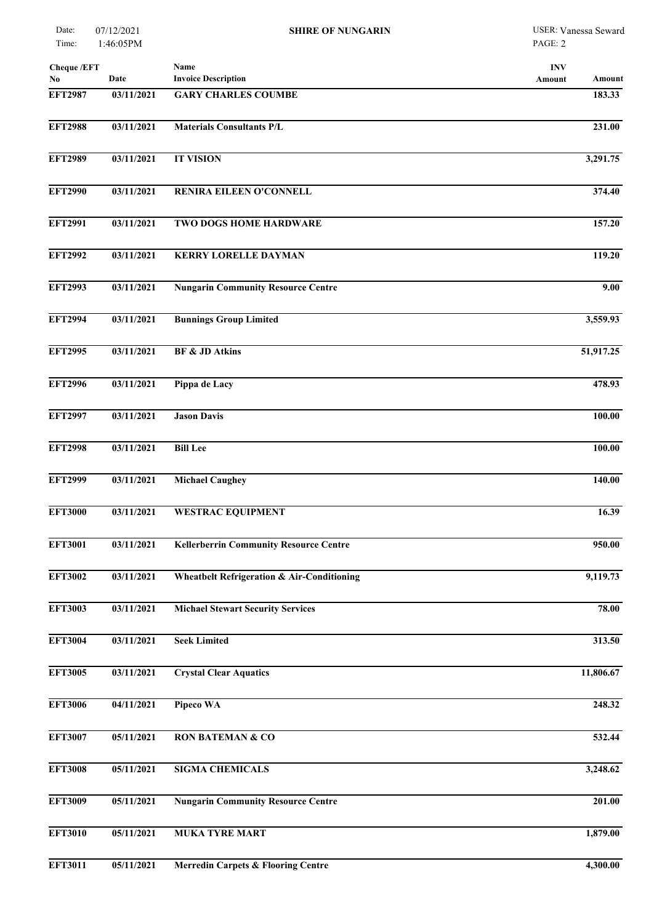| Cheque /EFT<br>No | Date       | Name<br><b>Invoice Description</b>                    | <b>INV</b><br>Amount<br>Amount |
|-------------------|------------|-------------------------------------------------------|--------------------------------|
| <b>EFT2987</b>    | 03/11/2021 | <b>GARY CHARLES COUMBE</b>                            | 183.33                         |
| <b>EFT2988</b>    | 03/11/2021 | <b>Materials Consultants P/L</b>                      | 231.00                         |
| <b>EFT2989</b>    | 03/11/2021 | <b>IT VISION</b>                                      | 3,291.75                       |
| <b>EFT2990</b>    | 03/11/2021 | RENIRA EILEEN O'CONNELL                               | 374.40                         |
| <b>EFT2991</b>    | 03/11/2021 | TWO DOGS HOME HARDWARE                                | 157.20                         |
| <b>EFT2992</b>    | 03/11/2021 | <b>KERRY LORELLE DAYMAN</b>                           | 119.20                         |
| <b>EFT2993</b>    | 03/11/2021 | <b>Nungarin Community Resource Centre</b>             | 9.00                           |
| <b>EFT2994</b>    | 03/11/2021 | <b>Bunnings Group Limited</b>                         | 3,559.93                       |
| <b>EFT2995</b>    | 03/11/2021 | <b>BF &amp; JD Atkins</b>                             | 51,917.25                      |
| <b>EFT2996</b>    | 03/11/2021 | Pippa de Lacy                                         | 478.93                         |
| <b>EFT2997</b>    | 03/11/2021 | <b>Jason Davis</b>                                    | 100.00                         |
| <b>EFT2998</b>    | 03/11/2021 | <b>Bill Lee</b>                                       | 100.00                         |
| <b>EFT2999</b>    | 03/11/2021 | <b>Michael Caughey</b>                                | $\overline{140.00}$            |
| <b>EFT3000</b>    | 03/11/2021 | <b>WESTRAC EQUIPMENT</b>                              | 16.39                          |
| <b>EFT3001</b>    | 03/11/2021 | <b>Kellerberrin Community Resource Centre</b>         | 950.00                         |
| <b>EFT3002</b>    | 03/11/2021 | <b>Wheatbelt Refrigeration &amp; Air-Conditioning</b> | 9,119.73                       |
| <b>EFT3003</b>    | 03/11/2021 | <b>Michael Stewart Security Services</b>              | 78.00                          |
| <b>EFT3004</b>    | 03/11/2021 | <b>Seek Limited</b>                                   | 313.50                         |
| <b>EFT3005</b>    | 03/11/2021 | <b>Crystal Clear Aquatics</b>                         | 11,806.67                      |
| <b>EFT3006</b>    | 04/11/2021 | Pipeco WA                                             | 248.32                         |
| <b>EFT3007</b>    | 05/11/2021 | <b>RON BATEMAN &amp; CO</b>                           | 532.44                         |
| <b>EFT3008</b>    | 05/11/2021 | <b>SIGMA CHEMICALS</b>                                | 3,248.62                       |
| <b>EFT3009</b>    | 05/11/2021 | <b>Nungarin Community Resource Centre</b>             | 201.00                         |
| <b>EFT3010</b>    | 05/11/2021 | <b>MUKA TYRE MART</b>                                 | 1,879.00                       |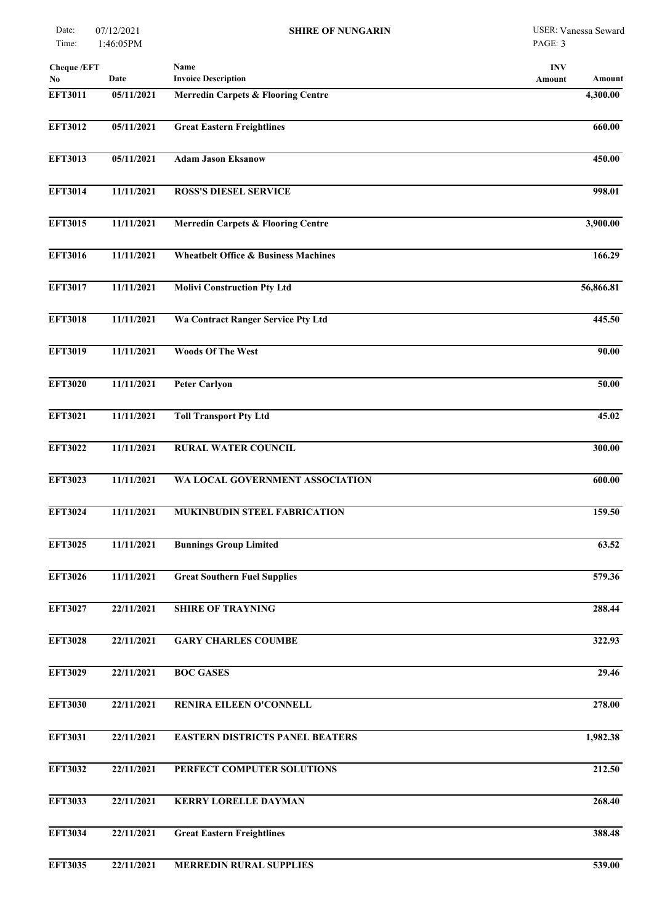| <b>Cheque /EFT</b> |            | Name                                            | <b>INV</b>       |
|--------------------|------------|-------------------------------------------------|------------------|
| No                 | Date       | <b>Invoice Description</b>                      | Amount<br>Amount |
| <b>EFT3011</b>     | 05/11/2021 | <b>Merredin Carpets &amp; Flooring Centre</b>   | 4,300.00         |
| <b>EFT3012</b>     | 05/11/2021 | <b>Great Eastern Freightlines</b>               | 660.00           |
| <b>EFT3013</b>     | 05/11/2021 | <b>Adam Jason Eksanow</b>                       | 450.00           |
| <b>EFT3014</b>     | 11/11/2021 | <b>ROSS'S DIESEL SERVICE</b>                    | 998.01           |
| <b>EFT3015</b>     | 11/11/2021 | <b>Merredin Carpets &amp; Flooring Centre</b>   | 3,900.00         |
| <b>EFT3016</b>     | 11/11/2021 | <b>Wheatbelt Office &amp; Business Machines</b> | 166.29           |
| <b>EFT3017</b>     | 11/11/2021 | <b>Molivi Construction Pty Ltd</b>              | 56,866.81        |
| <b>EFT3018</b>     | 11/11/2021 | Wa Contract Ranger Service Pty Ltd              | 445.50           |
| <b>EFT3019</b>     | 11/11/2021 | <b>Woods Of The West</b>                        | 90.00            |
| <b>EFT3020</b>     | 11/11/2021 | <b>Peter Carlyon</b>                            | 50.00            |
| <b>EFT3021</b>     | 11/11/2021 | <b>Toll Transport Pty Ltd</b>                   | 45.02            |
| <b>EFT3022</b>     | 11/11/2021 | <b>RURAL WATER COUNCIL</b>                      | 300.00           |
| <b>EFT3023</b>     | 11/11/2021 | WA LOCAL GOVERNMENT ASSOCIATION                 | 600.00           |
| <b>EFT3024</b>     | 11/11/2021 | MUKINBUDIN STEEL FABRICATION                    | 159.50           |
| <b>EFT3025</b>     | 11/11/2021 | <b>Bunnings Group Limited</b>                   | 63.52            |
| <b>EFT3026</b>     | 11/11/2021 | <b>Great Southern Fuel Supplies</b>             | 579.36           |
| <b>EFT3027</b>     | 22/11/2021 | <b>SHIRE OF TRAYNING</b>                        | 288.44           |
| <b>EFT3028</b>     | 22/11/2021 | <b>GARY CHARLES COUMBE</b>                      | 322.93           |
| <b>EFT3029</b>     | 22/11/2021 | <b>BOC GASES</b>                                | 29.46            |
| <b>EFT3030</b>     | 22/11/2021 | RENIRA EILEEN O'CONNELL                         | 278.00           |
| <b>EFT3031</b>     | 22/11/2021 | <b>EASTERN DISTRICTS PANEL BEATERS</b>          | 1,982.38         |
| <b>EFT3032</b>     | 22/11/2021 | PERFECT COMPUTER SOLUTIONS                      | 212.50           |
| <b>EFT3033</b>     | 22/11/2021 | <b>KERRY LORELLE DAYMAN</b>                     | 268.40           |
| <b>EFT3034</b>     | 22/11/2021 | <b>Great Eastern Freightlines</b>               | 388.48           |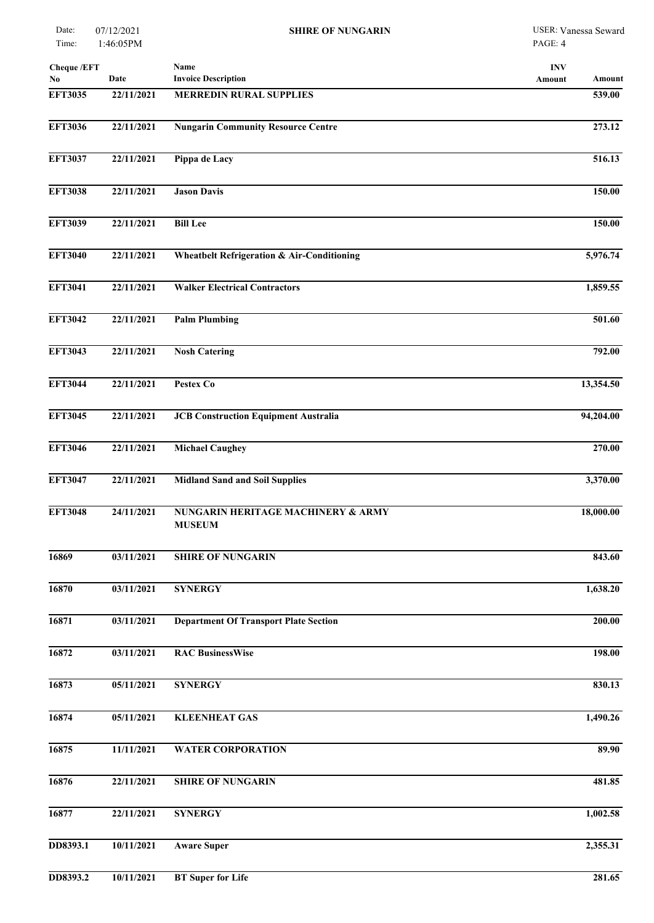| Date:<br>Time:            | 07/12/2021<br>1:46:05PM | <b>SHIRE OF NUNGARIN</b>                            | USER: Vanessa Seward<br>PAGE: 4 |
|---------------------------|-------------------------|-----------------------------------------------------|---------------------------------|
| <b>Cheque /EFT</b><br>No. | Date                    | Name<br><b>Invoice Description</b>                  | <b>INV</b><br>Amount<br>Amount  |
| <b>EFT3035</b>            | 22/11/2021              | <b>MERREDIN RURAL SUPPLIES</b>                      | 539.00                          |
| <b>EFT3036</b>            | 22/11/2021              | <b>Nungarin Community Resource Centre</b>           | 273.12                          |
| <b>EFT3037</b>            | 22/11/2021              | Pippa de Lacy                                       | $\overline{516.13}$             |
| <b>EFT3038</b>            | 22/11/2021              | <b>Jason Davis</b>                                  | 150.00                          |
| <b>EFT3039</b>            | 22/11/2021              | <b>Bill Lee</b>                                     | 150.00                          |
| <b>EFT3040</b>            | 22/11/2021              | Wheatbelt Refrigeration & Air-Conditioning          | 5,976.74                        |
| <b>EFT3041</b>            | 22/11/2021              | <b>Walker Electrical Contractors</b>                | 1,859.55                        |
| <b>EFT3042</b>            | 22/11/2021              | <b>Palm Plumbing</b>                                | 501.60                          |
| <b>EFT3043</b>            | 22/11/2021              | <b>Nosh Catering</b>                                | 792.00                          |
| <b>EFT3044</b>            | 22/11/2021              | Pestex Co                                           | 13,354.50                       |
| <b>EFT3045</b>            | 22/11/2021              | <b>JCB Construction Equipment Australia</b>         | 94,204.00                       |
| <b>EFT3046</b>            | 22/11/2021              | <b>Michael Caughey</b>                              | 270.00                          |
| <b>EFT3047</b>            | 22/11/2021              | <b>Midland Sand and Soil Supplies</b>               | 3,370.00                        |
| <b>EFT3048</b>            | 24/11/2021              | NUNGARIN HERITAGE MACHINERY & ARMY<br><b>MUSEUM</b> | 18,000.00                       |
| 16869                     | 03/11/2021              | <b>SHIRE OF NUNGARIN</b>                            | 843.60                          |
| 16870                     | 03/11/2021              | <b>SYNERGY</b>                                      | 1,638.20                        |
| 16871                     | 03/11/2021              | <b>Department Of Transport Plate Section</b>        | 200.00                          |
| 16872                     | 03/11/2021              | <b>RAC BusinessWise</b>                             | 198.00                          |
| 16873                     | 05/11/2021              | <b>SYNERGY</b>                                      | 830.13                          |
| 16874                     | 05/11/2021              | <b>KLEENHEAT GAS</b>                                | 1,490.26                        |
| 16875                     | 11/11/2021              | <b>WATER CORPORATION</b>                            | 89.90                           |
| 16876                     | 22/11/2021              | <b>SHIRE OF NUNGARIN</b>                            | 481.85                          |
| 16877                     | 22/11/2021              | <b>SYNERGY</b>                                      | 1,002.58                        |
| DD8393.1                  | 10/11/2021              | <b>Aware Super</b>                                  | 2,355.31                        |
| DD8393.2                  | 10/11/2021              | <b>BT</b> Super for Life                            | 281.65                          |